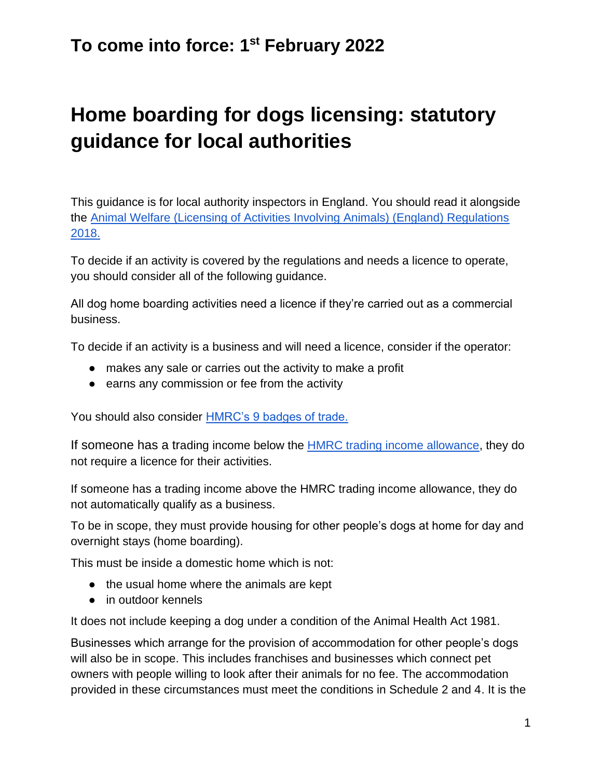# **Home boarding for dogs licensing: statutory guidance for local authorities**

This guidance is for local authority inspectors in England. You should read it alongside the [Animal Welfare \(Licensing of Activities Involving Animals\) \(England\) Regulations](https://www.legislation.gov.uk/uksi/2018/486/schedule/4/made)  [2018.](https://www.legislation.gov.uk/uksi/2018/486/schedule/4/made)

To decide if an activity is covered by the regulations and needs a licence to operate, you should consider all of the following guidance.

All dog home boarding activities need a licence if they're carried out as a commercial business.

To decide if an activity is a business and will need a licence, consider if the operator:

- makes any sale or carries out the activity to make a profit
- earns any commission or fee from the activity

You should also consider [HMRC's 9 badges of trade.](https://www.gov.uk/hmrc-internal-manuals/business-income-manual/bim20205)

If someone has a trading income below th[e](https://www.gov.uk/guidance/tax-free-allowances-on-property-and-trading-income#trade) [HMRC trading income allowance,](https://www.gov.uk/guidance/tax-free-allowances-on-property-and-trading-income#trade) they do not require a licence for their activities.

If someone has a trading income above the HMRC trading income allowance, they do not automatically qualify as a business.

To be in scope, they must provide housing for other people's dogs at home for day and overnight stays (home boarding).

This must be inside a domestic home which is not:

- the usual home where the animals are kept
- in outdoor kennels

It does not include keeping a dog under a condition of the Animal Health Act 1981.

Businesses which arrange for the provision of accommodation for other people's dogs will also be in scope. This includes franchises and businesses which connect pet owners with people willing to look after their animals for no fee. The accommodation provided in these circumstances must meet the conditions in Schedule 2 and 4. It is the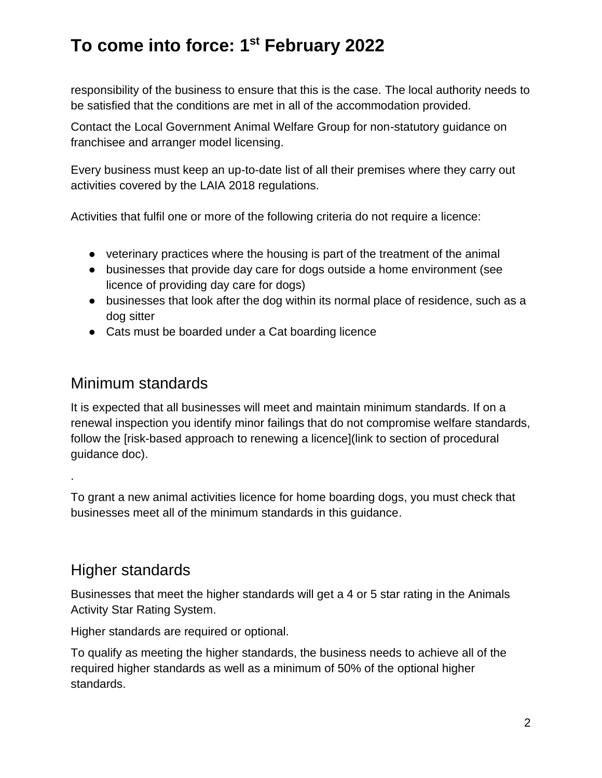responsibility of the business to ensure that this is the case. The local authority needs to be satisfied that the conditions are met in all of the accommodation provided.

Contact the Local Government Animal Welfare Group for non-statutory guidance on franchisee and arranger model licensing.

Every business must keep an up-to-date list of all their premises where they carry out activities covered by the LAIA 2018 regulations.

Activities that fulfil one or more of the following criteria do not require a licence:

- veterinary practices where the housing is part of the treatment of the animal
- businesses that provide day care for dogs outside a home environment (see licence of providing day care for dogs)
- businesses that look after the dog within its normal place of residence, such as a dog sitter
- Cats must be boarded under a Cat boarding licence

### Minimum standards

It is expected that all businesses will meet and maintain minimum standards. If on a renewal inspection you identify minor failings that do not compromise welfare standards, follow the [risk-based approach to renewing a licence](link to section of procedural guidance doc).

To grant a new animal activities licence for home boarding dogs, you must check that businesses meet all of the minimum standards in this guidance.

### Higher standards

.

Businesses that meet the higher standards will get a 4 or 5 star rating in the Animals Activity Star Rating System.

Higher standards are required or optional.

To qualify as meeting the higher standards, the business needs to achieve all of the required higher standards as well as a minimum of 50% of the optional higher standards.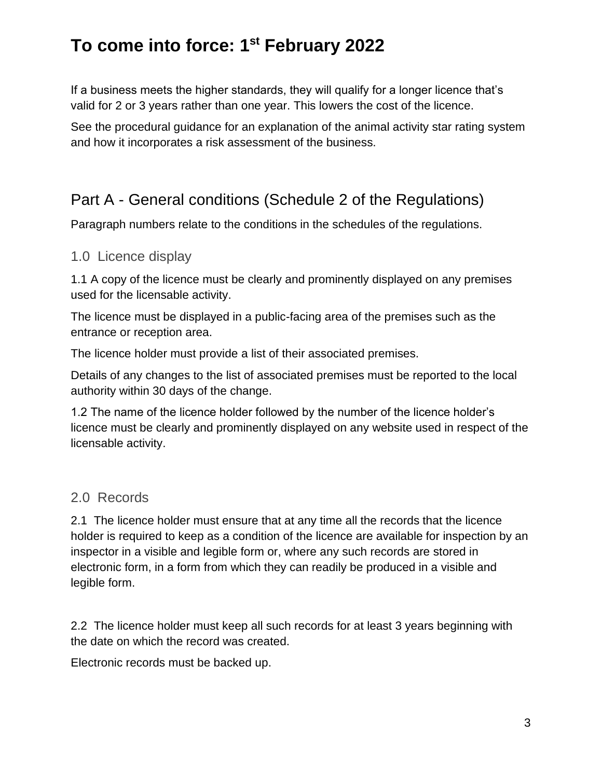If a business meets the higher standards, they will qualify for a longer licence that's valid for 2 or 3 years rather than one year. This lowers the cost of the licence.

See the procedural guidance for an explanation of the animal activity star rating system and how it incorporates a risk assessment of the business.

### Part A - General conditions (Schedule 2 of the Regulations)

Paragraph numbers relate to the conditions in the schedules of the regulations.

#### 1.0 Licence display

1.1 A copy of the licence must be clearly and prominently displayed on any premises used for the licensable activity.

The licence must be displayed in a public-facing area of the premises such as the entrance or reception area.

The licence holder must provide a list of their associated premises.

Details of any changes to the list of associated premises must be reported to the local authority within 30 days of the change.

1.2 The name of the licence holder followed by the number of the licence holder's licence must be clearly and prominently displayed on any website used in respect of the licensable activity.

#### 2.0 Records

2.1 The licence holder must ensure that at any time all the records that the licence holder is required to keep as a condition of the licence are available for inspection by an inspector in a visible and legible form or, where any such records are stored in electronic form, in a form from which they can readily be produced in a visible and legible form.

2.2 The licence holder must keep all such records for at least 3 years beginning with the date on which the record was created.

Electronic records must be backed up.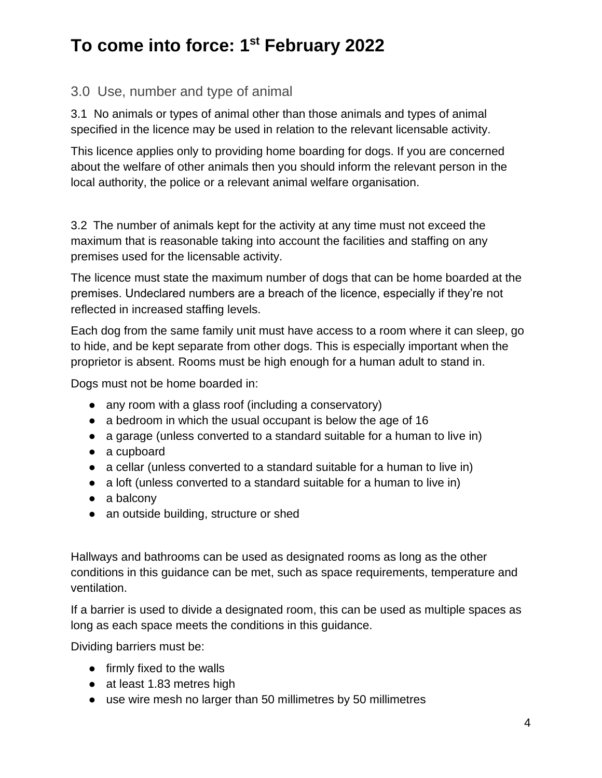#### 3.0 Use, number and type of animal

3.1 No animals or types of animal other than those animals and types of animal specified in the licence may be used in relation to the relevant licensable activity.

This licence applies only to providing home boarding for dogs. If you are concerned about the welfare of other animals then you should inform the relevant person in the local authority, the police or a relevant animal welfare organisation.

3.2 The number of animals kept for the activity at any time must not exceed the maximum that is reasonable taking into account the facilities and staffing on any premises used for the licensable activity.

The licence must state the maximum number of dogs that can be home boarded at the premises. Undeclared numbers are a breach of the licence, especially if they're not reflected in increased staffing levels.

Each dog from the same family unit must have access to a room where it can sleep, go to hide, and be kept separate from other dogs. This is especially important when the proprietor is absent. Rooms must be high enough for a human adult to stand in.

Dogs must not be home boarded in:

- any room with a glass roof (including a conservatory)
- a bedroom in which the usual occupant is below the age of 16
- a garage (unless converted to a standard suitable for a human to live in)
- a cupboard
- a cellar (unless converted to a standard suitable for a human to live in)
- a loft (unless converted to a standard suitable for a human to live in)
- a balcony
- an outside building, structure or shed

Hallways and bathrooms can be used as designated rooms as long as the other conditions in this guidance can be met, such as space requirements, temperature and ventilation.

If a barrier is used to divide a designated room, this can be used as multiple spaces as long as each space meets the conditions in this guidance.

Dividing barriers must be:

- firmly fixed to the walls
- at least 1.83 metres high
- use wire mesh no larger than 50 millimetres by 50 millimetres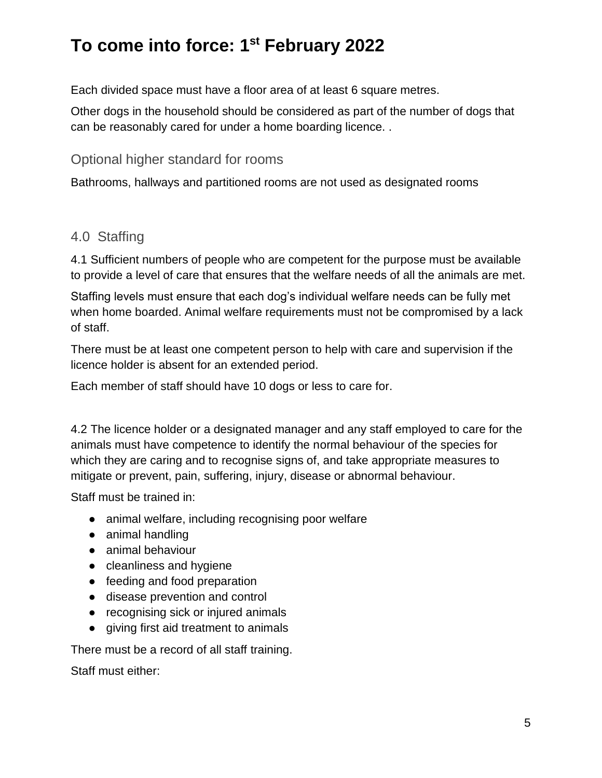Each divided space must have a floor area of at least 6 square metres.

Other dogs in the household should be considered as part of the number of dogs that can be reasonably cared for under a home boarding licence. .

#### Optional higher standard for rooms

Bathrooms, hallways and partitioned rooms are not used as designated rooms

#### 4.0 Staffing

4.1 Sufficient numbers of people who are competent for the purpose must be available to provide a level of care that ensures that the welfare needs of all the animals are met.

Staffing levels must ensure that each dog's individual welfare needs can be fully met when home boarded. Animal welfare requirements must not be compromised by a lack of staff.

There must be at least one competent person to help with care and supervision if the licence holder is absent for an extended period.

Each member of staff should have 10 dogs or less to care for.

4.2 The licence holder or a designated manager and any staff employed to care for the animals must have competence to identify the normal behaviour of the species for which they are caring and to recognise signs of, and take appropriate measures to mitigate or prevent, pain, suffering, injury, disease or abnormal behaviour.

Staff must be trained in:

- animal welfare, including recognising poor welfare
- animal handling
- animal behaviour
- cleanliness and hygiene
- feeding and food preparation
- disease prevention and control
- recognising sick or injured animals
- giving first aid treatment to animals

There must be a record of all staff training.

Staff must either: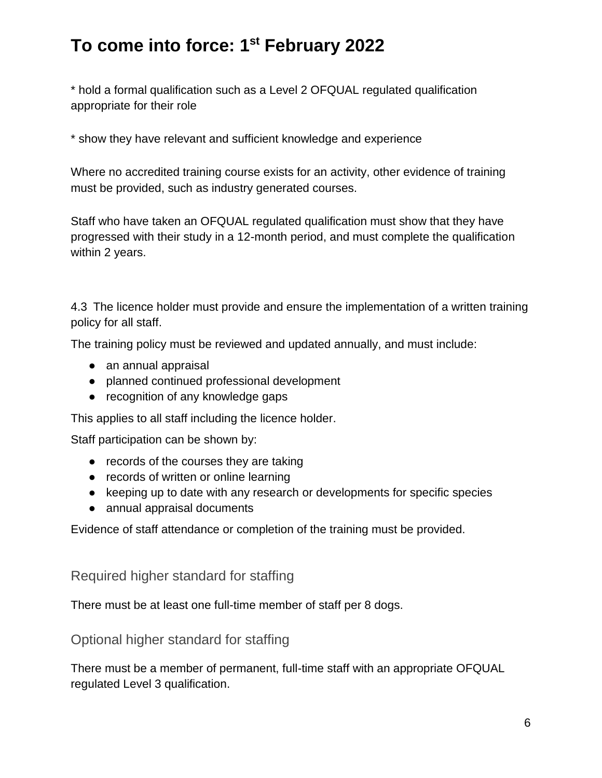\* hold a formal qualification such as a Level 2 OFQUAL regulated qualification appropriate for their role

\* show they have relevant and sufficient knowledge and experience

Where no accredited training course exists for an activity, other evidence of training must be provided, such as industry generated courses.

Staff who have taken an OFQUAL regulated qualification must show that they have progressed with their study in a 12-month period, and must complete the qualification within 2 years.

4.3 The licence holder must provide and ensure the implementation of a written training policy for all staff.

The training policy must be reviewed and updated annually, and must include:

- an annual appraisal
- planned continued professional development
- recognition of any knowledge gaps

This applies to all staff including the licence holder.

Staff participation can be shown by:

- records of the courses they are taking
- records of written or online learning
- keeping up to date with any research or developments for specific species
- annual appraisal documents

Evidence of staff attendance or completion of the training must be provided.

Required higher standard for staffing

There must be at least one full-time member of staff per 8 dogs.

Optional higher standard for staffing

There must be a member of permanent, full-time staff with an appropriate OFQUAL regulated Level 3 qualification.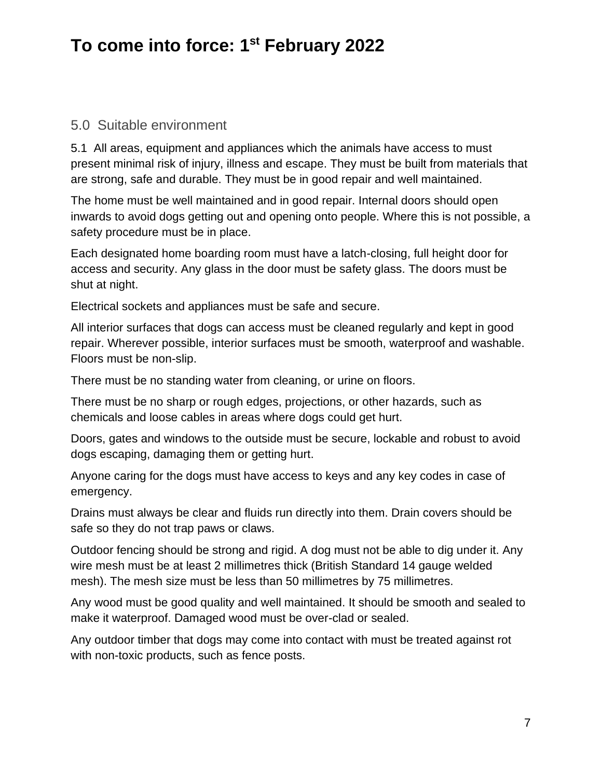#### 5.0 Suitable environment

5.1 All areas, equipment and appliances which the animals have access to must present minimal risk of injury, illness and escape. They must be built from materials that are strong, safe and durable. They must be in good repair and well maintained.

The home must be well maintained and in good repair. Internal doors should open inwards to avoid dogs getting out and opening onto people. Where this is not possible, a safety procedure must be in place.

Each designated home boarding room must have a latch-closing, full height door for access and security. Any glass in the door must be safety glass. The doors must be shut at night.

Electrical sockets and appliances must be safe and secure.

All interior surfaces that dogs can access must be cleaned regularly and kept in good repair. Wherever possible, interior surfaces must be smooth, waterproof and washable. Floors must be non-slip.

There must be no standing water from cleaning, or urine on floors.

There must be no sharp or rough edges, projections, or other hazards, such as chemicals and loose cables in areas where dogs could get hurt.

Doors, gates and windows to the outside must be secure, lockable and robust to avoid dogs escaping, damaging them or getting hurt.

Anyone caring for the dogs must have access to keys and any key codes in case of emergency.

Drains must always be clear and fluids run directly into them. Drain covers should be safe so they do not trap paws or claws.

Outdoor fencing should be strong and rigid. A dog must not be able to dig under it. Any wire mesh must be at least 2 millimetres thick (British Standard 14 gauge welded mesh). The mesh size must be less than 50 millimetres by 75 millimetres.

Any wood must be good quality and well maintained. It should be smooth and sealed to make it waterproof. Damaged wood must be over-clad or sealed.

Any outdoor timber that dogs may come into contact with must be treated against rot with non-toxic products, such as fence posts.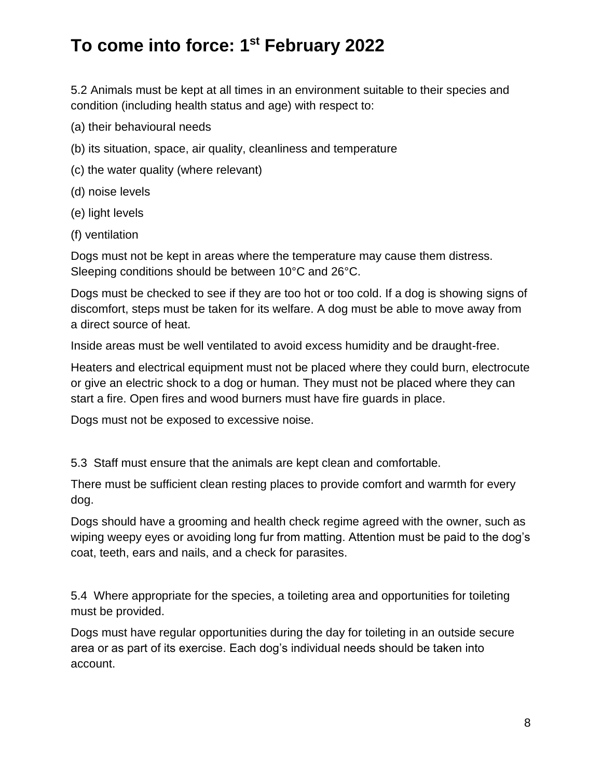5.2 Animals must be kept at all times in an environment suitable to their species and condition (including health status and age) with respect to:

- (a) their behavioural needs
- (b) its situation, space, air quality, cleanliness and temperature
- (c) the water quality (where relevant)
- (d) noise levels
- (e) light levels
- (f) ventilation

Dogs must not be kept in areas where the temperature may cause them distress. Sleeping conditions should be between 10°C and 26°C.

Dogs must be checked to see if they are too hot or too cold. If a dog is showing signs of discomfort, steps must be taken for its welfare. A dog must be able to move away from a direct source of heat.

Inside areas must be well ventilated to avoid excess humidity and be draught-free.

Heaters and electrical equipment must not be placed where they could burn, electrocute or give an electric shock to a dog or human. They must not be placed where they can start a fire. Open fires and wood burners must have fire guards in place.

Dogs must not be exposed to excessive noise.

5.3 Staff must ensure that the animals are kept clean and comfortable.

There must be sufficient clean resting places to provide comfort and warmth for every dog.

Dogs should have a grooming and health check regime agreed with the owner, such as wiping weepy eyes or avoiding long fur from matting. Attention must be paid to the dog's coat, teeth, ears and nails, and a check for parasites.

5.4 Where appropriate for the species, a toileting area and opportunities for toileting must be provided.

Dogs must have regular opportunities during the day for toileting in an outside secure area or as part of its exercise. Each dog's individual needs should be taken into account.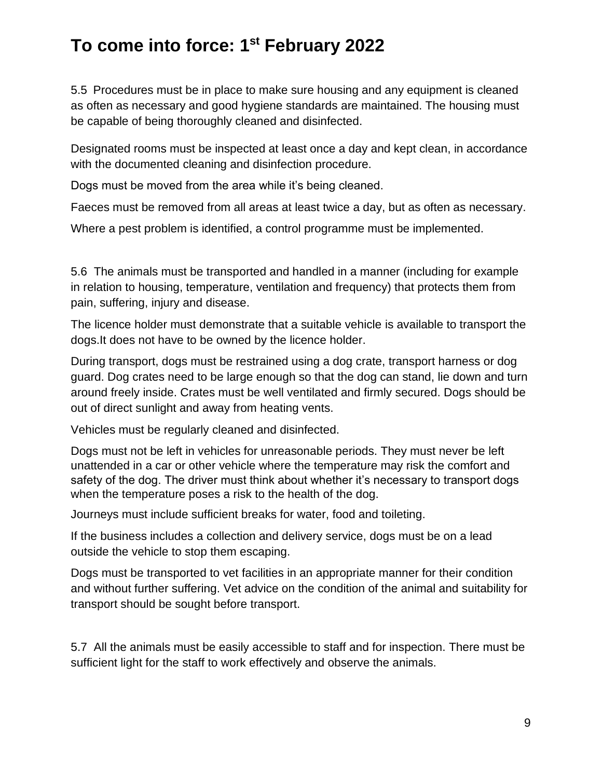5.5 Procedures must be in place to make sure housing and any equipment is cleaned as often as necessary and good hygiene standards are maintained. The housing must be capable of being thoroughly cleaned and disinfected.

Designated rooms must be inspected at least once a day and kept clean, in accordance with the documented cleaning and disinfection procedure.

Dogs must be moved from the area while it's being cleaned.

Faeces must be removed from all areas at least twice a day, but as often as necessary.

Where a pest problem is identified, a control programme must be implemented.

5.6 The animals must be transported and handled in a manner (including for example in relation to housing, temperature, ventilation and frequency) that protects them from pain, suffering, injury and disease.

The licence holder must demonstrate that a suitable vehicle is available to transport the dogs.It does not have to be owned by the licence holder.

During transport, dogs must be restrained using a dog crate, transport harness or dog guard. Dog crates need to be large enough so that the dog can stand, lie down and turn around freely inside. Crates must be well ventilated and firmly secured. Dogs should be out of direct sunlight and away from heating vents.

Vehicles must be regularly cleaned and disinfected.

Dogs must not be left in vehicles for unreasonable periods. They must never be left unattended in a car or other vehicle where the temperature may risk the comfort and safety of the dog. The driver must think about whether it's necessary to transport dogs when the temperature poses a risk to the health of the dog.

Journeys must include sufficient breaks for water, food and toileting.

If the business includes a collection and delivery service, dogs must be on a lead outside the vehicle to stop them escaping.

Dogs must be transported to vet facilities in an appropriate manner for their condition and without further suffering. Vet advice on the condition of the animal and suitability for transport should be sought before transport.

5.7 All the animals must be easily accessible to staff and for inspection. There must be sufficient light for the staff to work effectively and observe the animals.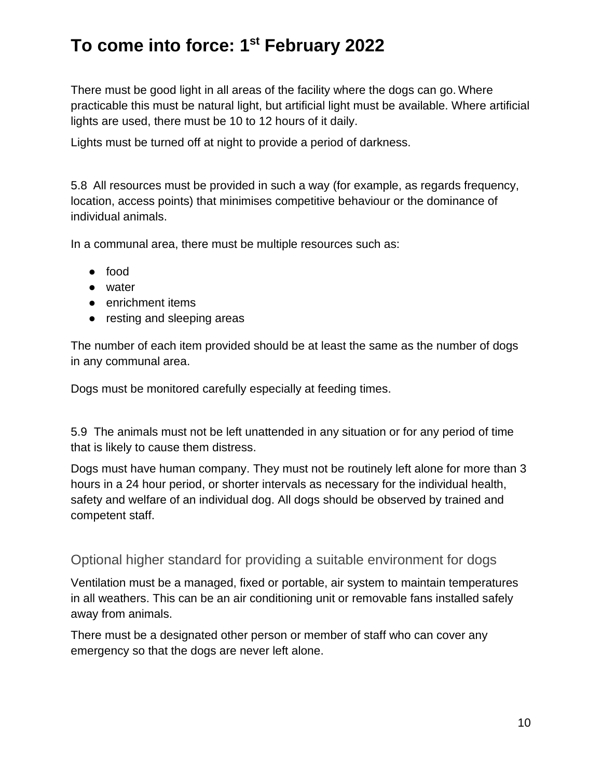There must be good light in all areas of the facility where the dogs can go. Where practicable this must be natural light, but artificial light must be available. Where artificial lights are used, there must be 10 to 12 hours of it daily.

Lights must be turned off at night to provide a period of darkness.

5.8 All resources must be provided in such a way (for example, as regards frequency, location, access points) that minimises competitive behaviour or the dominance of individual animals.

In a communal area, there must be multiple resources such as:

- food
- water
- enrichment items
- resting and sleeping areas

The number of each item provided should be at least the same as the number of dogs in any communal area.

Dogs must be monitored carefully especially at feeding times.

5.9 The animals must not be left unattended in any situation or for any period of time that is likely to cause them distress.

Dogs must have human company. They must not be routinely left alone for more than 3 hours in a 24 hour period, or shorter intervals as necessary for the individual health, safety and welfare of an individual dog. All dogs should be observed by trained and competent staff.

Optional higher standard for providing a suitable environment for dogs

Ventilation must be a managed, fixed or portable, air system to maintain temperatures in all weathers. This can be an air conditioning unit or removable fans installed safely away from animals.

There must be a designated other person or member of staff who can cover any emergency so that the dogs are never left alone.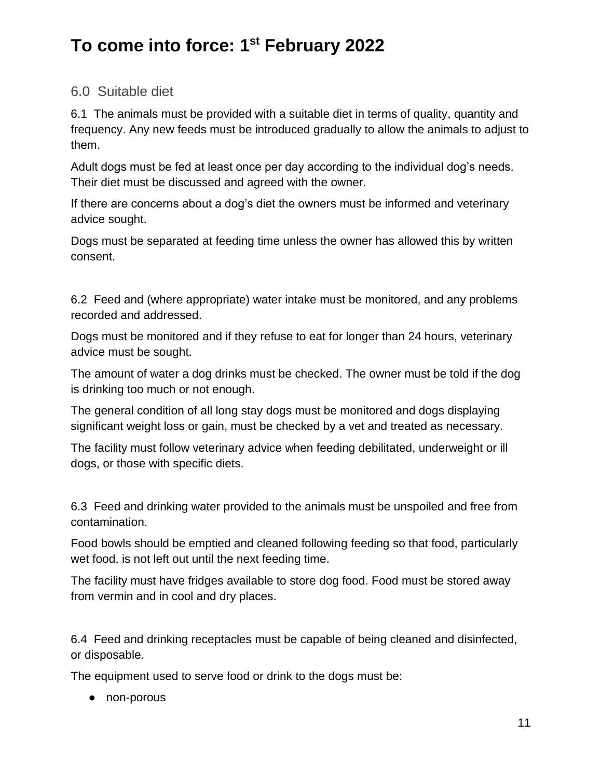#### 6.0 Suitable diet

6.1 The animals must be provided with a suitable diet in terms of quality, quantity and frequency. Any new feeds must be introduced gradually to allow the animals to adjust to them.

Adult dogs must be fed at least once per day according to the individual dog's needs. Their diet must be discussed and agreed with the owner.

If there are concerns about a dog's diet the owners must be informed and veterinary advice sought.

Dogs must be separated at feeding time unless the owner has allowed this by written consent.

6.2 Feed and (where appropriate) water intake must be monitored, and any problems recorded and addressed.

Dogs must be monitored and if they refuse to eat for longer than 24 hours, veterinary advice must be sought.

The amount of water a dog drinks must be checked. The owner must be told if the dog is drinking too much or not enough.

The general condition of all long stay dogs must be monitored and dogs displaying significant weight loss or gain, must be checked by a vet and treated as necessary.

The facility must follow veterinary advice when feeding debilitated, underweight or ill dogs, or those with specific diets.

6.3 Feed and drinking water provided to the animals must be unspoiled and free from contamination.

Food bowls should be emptied and cleaned following feeding so that food, particularly wet food, is not left out until the next feeding time.

The facility must have fridges available to store dog food. Food must be stored away from vermin and in cool and dry places.

6.4 Feed and drinking receptacles must be capable of being cleaned and disinfected, or disposable.

The equipment used to serve food or drink to the dogs must be:

● non-porous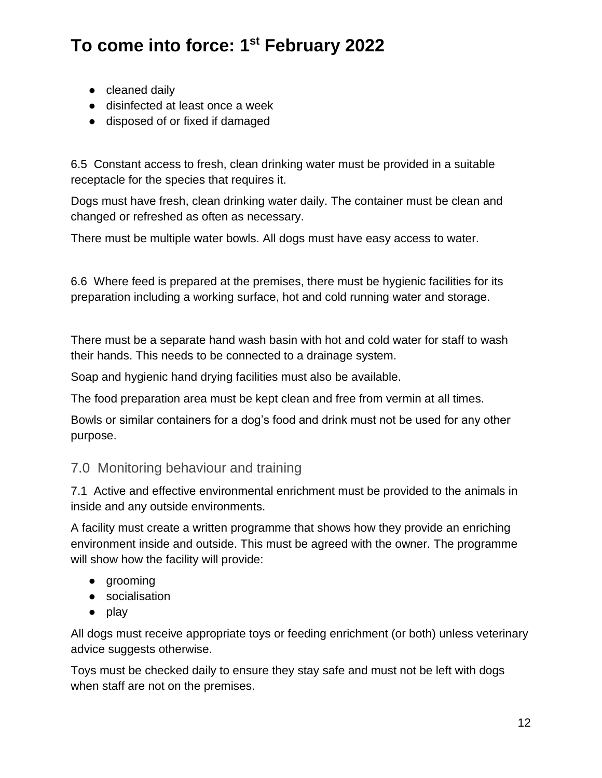- cleaned daily
- disinfected at least once a week
- disposed of or fixed if damaged

6.5 Constant access to fresh, clean drinking water must be provided in a suitable receptacle for the species that requires it.

Dogs must have fresh, clean drinking water daily. The container must be clean and changed or refreshed as often as necessary.

There must be multiple water bowls. All dogs must have easy access to water.

6.6 Where feed is prepared at the premises, there must be hygienic facilities for its preparation including a working surface, hot and cold running water and storage.

There must be a separate hand wash basin with hot and cold water for staff to wash their hands. This needs to be connected to a drainage system.

Soap and hygienic hand drying facilities must also be available.

The food preparation area must be kept clean and free from vermin at all times.

Bowls or similar containers for a dog's food and drink must not be used for any other purpose.

#### 7.0 Monitoring behaviour and training

7.1 Active and effective environmental enrichment must be provided to the animals in inside and any outside environments.

A facility must create a written programme that shows how they provide an enriching environment inside and outside. This must be agreed with the owner. The programme will show how the facility will provide:

- grooming
- socialisation
- play

All dogs must receive appropriate toys or feeding enrichment (or both) unless veterinary advice suggests otherwise.

Toys must be checked daily to ensure they stay safe and must not be left with dogs when staff are not on the premises.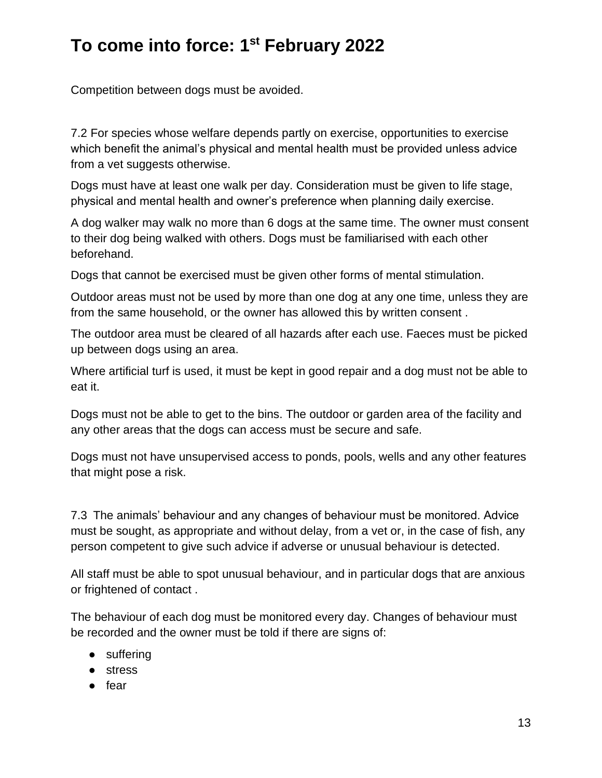Competition between dogs must be avoided.

7.2 For species whose welfare depends partly on exercise, opportunities to exercise which benefit the animal's physical and mental health must be provided unless advice from a vet suggests otherwise.

Dogs must have at least one walk per day. Consideration must be given to life stage, physical and mental health and owner's preference when planning daily exercise.

A dog walker may walk no more than 6 dogs at the same time. The owner must consent to their dog being walked with others. Dogs must be familiarised with each other beforehand.

Dogs that cannot be exercised must be given other forms of mental stimulation.

Outdoor areas must not be used by more than one dog at any one time, unless they are from the same household, or the owner has allowed this by written consent .

The outdoor area must be cleared of all hazards after each use. Faeces must be picked up between dogs using an area.

Where artificial turf is used, it must be kept in good repair and a dog must not be able to eat it.

Dogs must not be able to get to the bins. The outdoor or garden area of the facility and any other areas that the dogs can access must be secure and safe.

Dogs must not have unsupervised access to ponds, pools, wells and any other features that might pose a risk.

7.3 The animals' behaviour and any changes of behaviour must be monitored. Advice must be sought, as appropriate and without delay, from a vet or, in the case of fish, any person competent to give such advice if adverse or unusual behaviour is detected.

All staff must be able to spot unusual behaviour, and in particular dogs that are anxious or frightened of contact .

The behaviour of each dog must be monitored every day. Changes of behaviour must be recorded and the owner must be told if there are signs of:

- suffering
- stress
- fear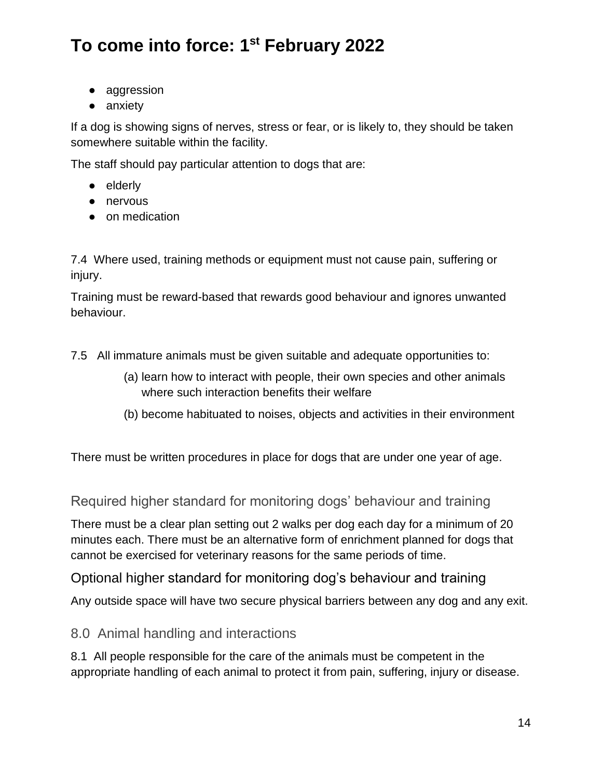- aggression
- anxiety

If a dog is showing signs of nerves, stress or fear, or is likely to, they should be taken somewhere suitable within the facility.

The staff should pay particular attention to dogs that are:

- elderly
- nervous
- on medication

7.4 Where used, training methods or equipment must not cause pain, suffering or injury.

Training must be reward-based that rewards good behaviour and ignores unwanted behaviour.

- 7.5 All immature animals must be given suitable and adequate opportunities to:
	- (a) learn how to interact with people, their own species and other animals where such interaction benefits their welfare
	- (b) become habituated to noises, objects and activities in their environment

There must be written procedures in place for dogs that are under one year of age.

Required higher standard for monitoring dogs' behaviour and training

There must be a clear plan setting out 2 walks per dog each day for a minimum of 20 minutes each. There must be an alternative form of enrichment planned for dogs that cannot be exercised for veterinary reasons for the same periods of time.

Optional higher standard for monitoring dog's behaviour and training

Any outside space will have two secure physical barriers between any dog and any exit.

#### 8.0 Animal handling and interactions

8.1 All people responsible for the care of the animals must be competent in the appropriate handling of each animal to protect it from pain, suffering, injury or disease.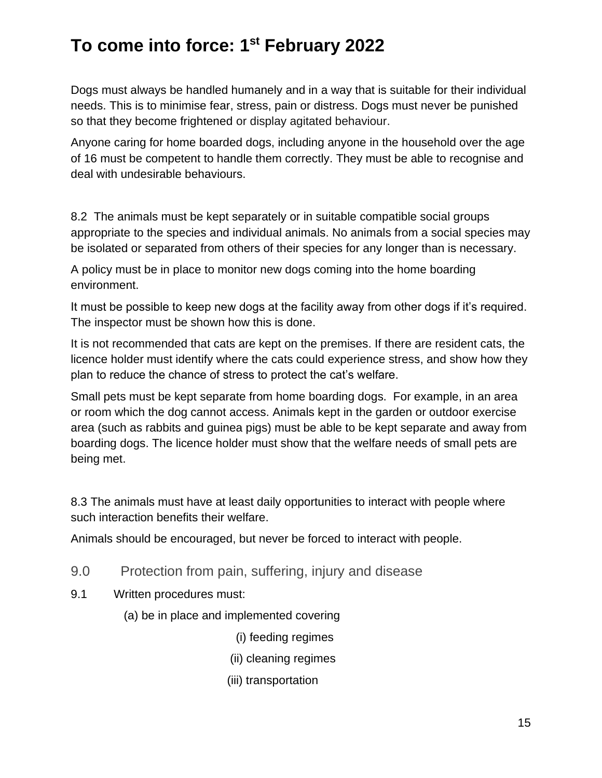Dogs must always be handled humanely and in a way that is suitable for their individual needs. This is to minimise fear, stress, pain or distress. Dogs must never be punished so that they become frightened or display agitated behaviour.

Anyone caring for home boarded dogs, including anyone in the household over the age of 16 must be competent to handle them correctly. They must be able to recognise and deal with undesirable behaviours.

8.2 The animals must be kept separately or in suitable compatible social groups appropriate to the species and individual animals. No animals from a social species may be isolated or separated from others of their species for any longer than is necessary.

A policy must be in place to monitor new dogs coming into the home boarding environment.

It must be possible to keep new dogs at the facility away from other dogs if it's required. The inspector must be shown how this is done.

It is not recommended that cats are kept on the premises. If there are resident cats, the licence holder must identify where the cats could experience stress, and show how they plan to reduce the chance of stress to protect the cat's welfare.

Small pets must be kept separate from home boarding dogs. For example, in an area or room which the dog cannot access. Animals kept in the garden or outdoor exercise area (such as rabbits and guinea pigs) must be able to be kept separate and away from boarding dogs. The licence holder must show that the welfare needs of small pets are being met.

8.3 The animals must have at least daily opportunities to interact with people where such interaction benefits their welfare.

Animals should be encouraged, but never be forced to interact with people.

- 9.0 Protection from pain, suffering, injury and disease
- 9.1 Written procedures must:
	- (a) be in place and implemented covering
		- (i) feeding regimes
		- (ii) cleaning regimes
		- (iii) transportation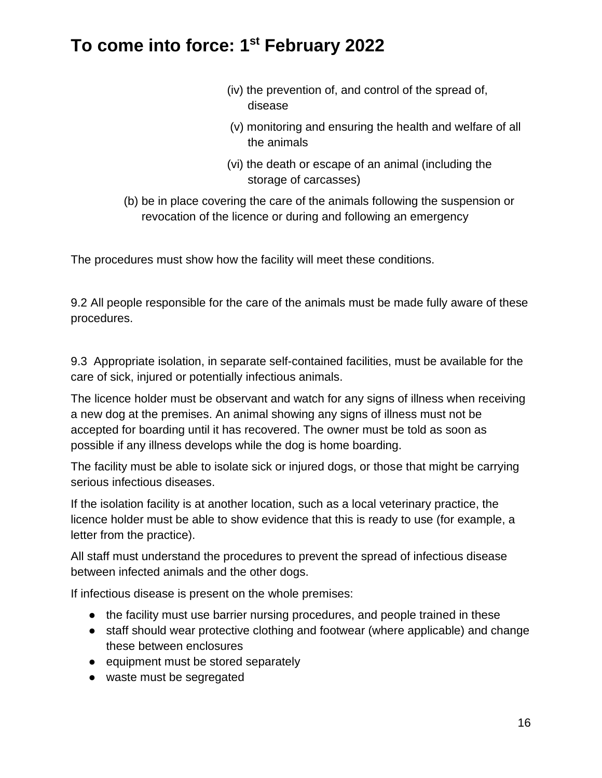- (iv) the prevention of, and control of the spread of, disease
- (v) monitoring and ensuring the health and welfare of all the animals
- (vi) the death or escape of an animal (including the storage of carcasses)
- (b) be in place covering the care of the animals following the suspension or revocation of the licence or during and following an emergency

The procedures must show how the facility will meet these conditions.

9.2 All people responsible for the care of the animals must be made fully aware of these procedures.

9.3 Appropriate isolation, in separate self-contained facilities, must be available for the care of sick, injured or potentially infectious animals.

The licence holder must be observant and watch for any signs of illness when receiving a new dog at the premises. An animal showing any signs of illness must not be accepted for boarding until it has recovered. The owner must be told as soon as possible if any illness develops while the dog is home boarding.

The facility must be able to isolate sick or injured dogs, or those that might be carrying serious infectious diseases.

If the isolation facility is at another location, such as a local veterinary practice, the licence holder must be able to show evidence that this is ready to use (for example, a letter from the practice).

All staff must understand the procedures to prevent the spread of infectious disease between infected animals and the other dogs.

If infectious disease is present on the whole premises:

- the facility must use barrier nursing procedures, and people trained in these
- staff should wear protective clothing and footwear (where applicable) and change these between enclosures
- equipment must be stored separately
- waste must be segregated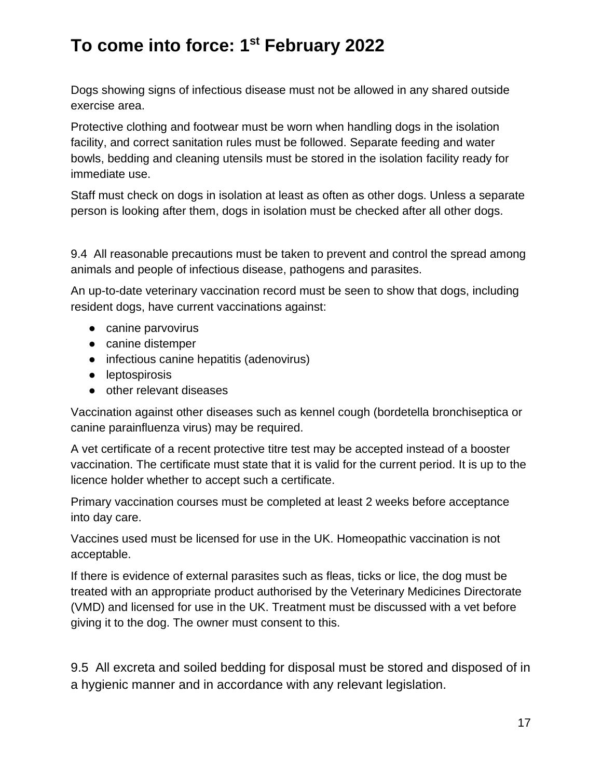Dogs showing signs of infectious disease must not be allowed in any shared outside exercise area.

Protective clothing and footwear must be worn when handling dogs in the isolation facility, and correct sanitation rules must be followed. Separate feeding and water bowls, bedding and cleaning utensils must be stored in the isolation facility ready for immediate use.

Staff must check on dogs in isolation at least as often as other dogs. Unless a separate person is looking after them, dogs in isolation must be checked after all other dogs.

9.4 All reasonable precautions must be taken to prevent and control the spread among animals and people of infectious disease, pathogens and parasites.

An up-to-date veterinary vaccination record must be seen to show that dogs, including resident dogs, have current vaccinations against:

- canine parvovirus
- canine distemper
- infectious canine hepatitis (adenovirus)
- leptospirosis
- other relevant diseases

Vaccination against other diseases such as kennel cough (bordetella bronchiseptica or canine parainfluenza virus) may be required.

A vet certificate of a recent protective titre test may be accepted instead of a booster vaccination. The certificate must state that it is valid for the current period. It is up to the licence holder whether to accept such a certificate.

Primary vaccination courses must be completed at least 2 weeks before acceptance into day care.

Vaccines used must be licensed for use in the UK. Homeopathic vaccination is not acceptable.

If there is evidence of external parasites such as fleas, ticks or lice, the dog must be treated with an appropriate product authorised by the Veterinary Medicines Directorate (VMD) and licensed for use in the UK. Treatment must be discussed with a vet before giving it to the dog. The owner must consent to this.

9.5 All excreta and soiled bedding for disposal must be stored and disposed of in a hygienic manner and in accordance with any relevant legislation.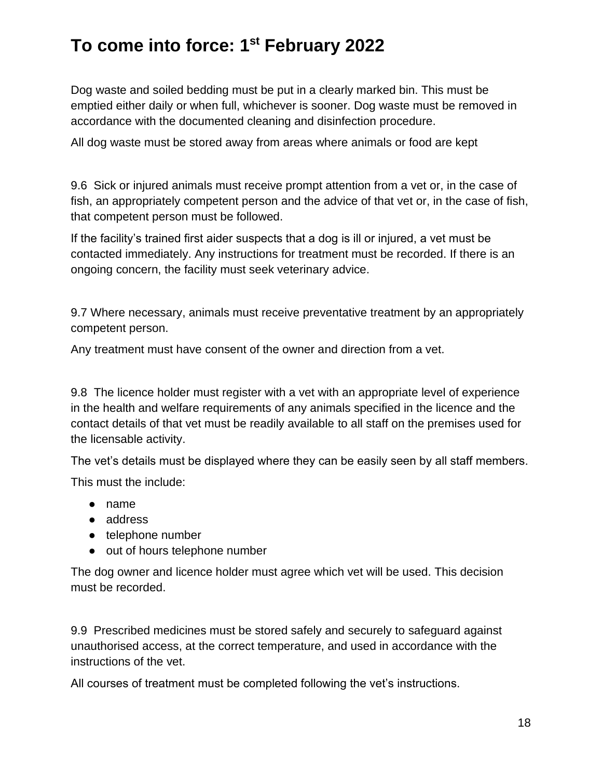Dog waste and soiled bedding must be put in a clearly marked bin. This must be emptied either daily or when full, whichever is sooner. Dog waste must be removed in accordance with the documented cleaning and disinfection procedure.

All dog waste must be stored away from areas where animals or food are kept

9.6 Sick or injured animals must receive prompt attention from a vet or, in the case of fish, an appropriately competent person and the advice of that vet or, in the case of fish, that competent person must be followed.

If the facility's trained first aider suspects that a dog is ill or injured, a vet must be contacted immediately. Any instructions for treatment must be recorded. If there is an ongoing concern, the facility must seek veterinary advice.

9.7 Where necessary, animals must receive preventative treatment by an appropriately competent person.

Any treatment must have consent of the owner and direction from a vet.

9.8 The licence holder must register with a vet with an appropriate level of experience in the health and welfare requirements of any animals specified in the licence and the contact details of that vet must be readily available to all staff on the premises used for the licensable activity.

The vet's details must be displayed where they can be easily seen by all staff members.

This must the include:

- name
- address
- telephone number
- out of hours telephone number

The dog owner and licence holder must agree which vet will be used. This decision must be recorded.

9.9 Prescribed medicines must be stored safely and securely to safeguard against unauthorised access, at the correct temperature, and used in accordance with the instructions of the vet.

All courses of treatment must be completed following the vet's instructions.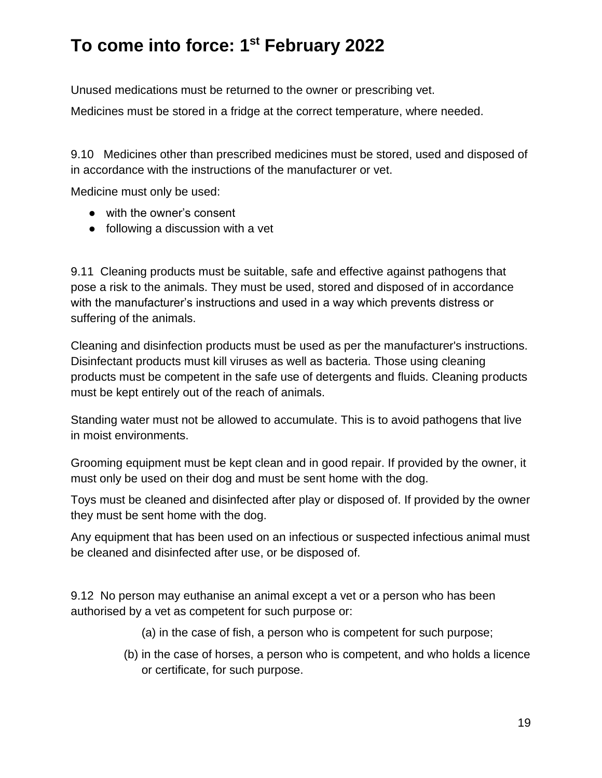Unused medications must be returned to the owner or prescribing vet.

Medicines must be stored in a fridge at the correct temperature, where needed.

9.10 Medicines other than prescribed medicines must be stored, used and disposed of in accordance with the instructions of the manufacturer or vet.

Medicine must only be used:

- with the owner's consent
- following a discussion with a vet

9.11 Cleaning products must be suitable, safe and effective against pathogens that pose a risk to the animals. They must be used, stored and disposed of in accordance with the manufacturer's instructions and used in a way which prevents distress or suffering of the animals.

Cleaning and disinfection products must be used as per the manufacturer's instructions. Disinfectant products must kill viruses as well as bacteria. Those using cleaning products must be competent in the safe use of detergents and fluids. Cleaning products must be kept entirely out of the reach of animals.

Standing water must not be allowed to accumulate. This is to avoid pathogens that live in moist environments.

Grooming equipment must be kept clean and in good repair. If provided by the owner, it must only be used on their dog and must be sent home with the dog.

Toys must be cleaned and disinfected after play or disposed of. If provided by the owner they must be sent home with the dog.

Any equipment that has been used on an infectious or suspected infectious animal must be cleaned and disinfected after use, or be disposed of.

9.12 No person may euthanise an animal except a vet or a person who has been authorised by a vet as competent for such purpose or:

- (a) in the case of fish, a person who is competent for such purpose;
- (b) in the case of horses, a person who is competent, and who holds a licence or certificate, for such purpose.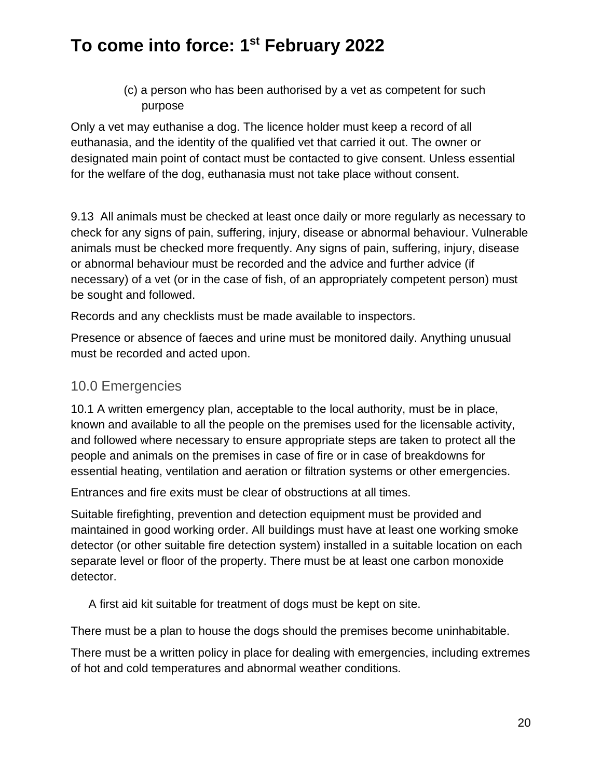(c) a person who has been authorised by a vet as competent for such purpose

Only a vet may euthanise a dog. The licence holder must keep a record of all euthanasia, and the identity of the qualified vet that carried it out. The owner or designated main point of contact must be contacted to give consent. Unless essential for the welfare of the dog, euthanasia must not take place without consent.

9.13 All animals must be checked at least once daily or more regularly as necessary to check for any signs of pain, suffering, injury, disease or abnormal behaviour. Vulnerable animals must be checked more frequently. Any signs of pain, suffering, injury, disease or abnormal behaviour must be recorded and the advice and further advice (if necessary) of a vet (or in the case of fish, of an appropriately competent person) must be sought and followed.

Records and any checklists must be made available to inspectors.

Presence or absence of faeces and urine must be monitored daily. Anything unusual must be recorded and acted upon.

#### 10.0 Emergencies

10.1 A written emergency plan, acceptable to the local authority, must be in place, known and available to all the people on the premises used for the licensable activity, and followed where necessary to ensure appropriate steps are taken to protect all the people and animals on the premises in case of fire or in case of breakdowns for essential heating, ventilation and aeration or filtration systems or other emergencies.

Entrances and fire exits must be clear of obstructions at all times.

Suitable firefighting, prevention and detection equipment must be provided and maintained in good working order. All buildings must have at least one working smoke detector (or other suitable fire detection system) installed in a suitable location on each separate level or floor of the property. There must be at least one carbon monoxide detector.

A first aid kit suitable for treatment of dogs must be kept on site.

There must be a plan to house the dogs should the premises become uninhabitable.

There must be a written policy in place for dealing with emergencies, including extremes of hot and cold temperatures and abnormal weather conditions.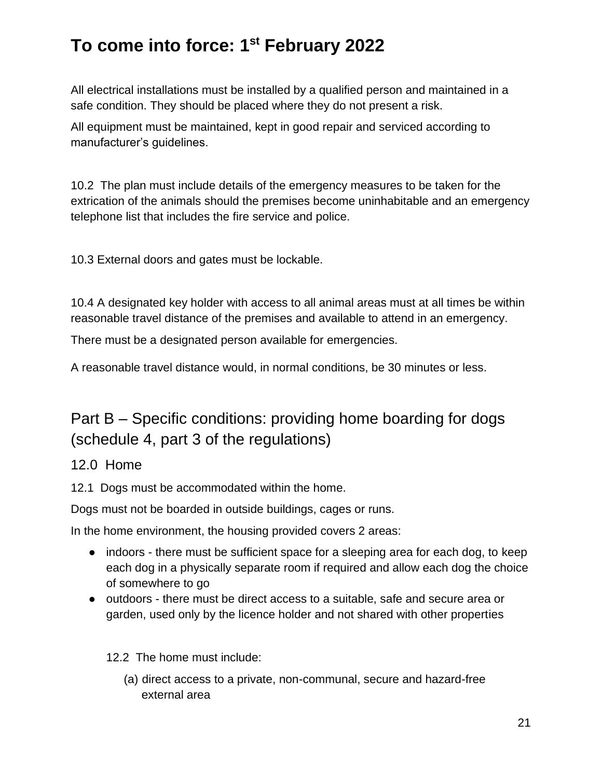All electrical installations must be installed by a qualified person and maintained in a safe condition. They should be placed where they do not present a risk.

All equipment must be maintained, kept in good repair and serviced according to manufacturer's guidelines.

10.2 The plan must include details of the emergency measures to be taken for the extrication of the animals should the premises become uninhabitable and an emergency telephone list that includes the fire service and police.

10.3 External doors and gates must be lockable.

10.4 A designated key holder with access to all animal areas must at all times be within reasonable travel distance of the premises and available to attend in an emergency.

There must be a designated person available for emergencies.

A reasonable travel distance would, in normal conditions, be 30 minutes or less.

### Part B – Specific conditions: providing home boarding for dogs (schedule 4, part 3 of the regulations)

#### 12.0 Home

12.1 Dogs must be accommodated within the home.

Dogs must not be boarded in outside buildings, cages or runs.

In the home environment, the housing provided covers 2 areas:

- indoors there must be sufficient space for a sleeping area for each dog, to keep each dog in a physically separate room if required and allow each dog the choice of somewhere to go
- outdoors there must be direct access to a suitable, safe and secure area or garden, used only by the licence holder and not shared with other properties

12.2 The home must include:

(a) direct access to a private, non-communal, secure and hazard-free external area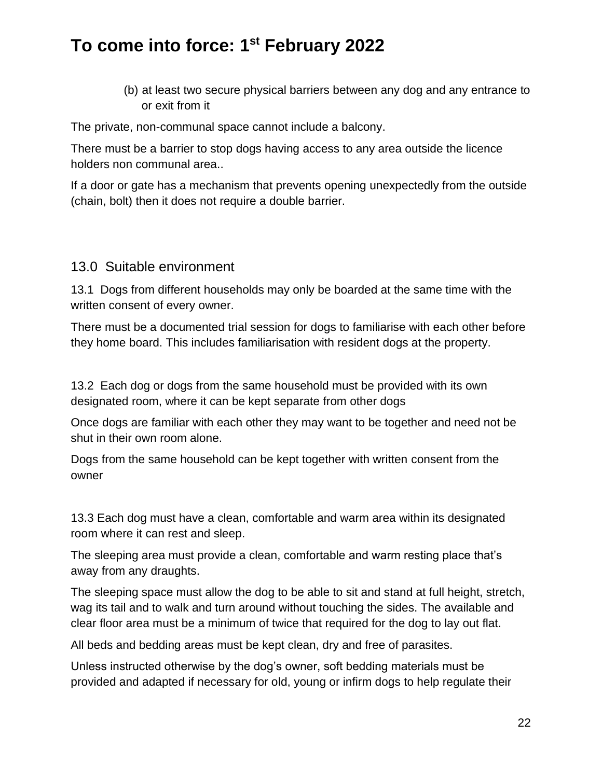(b) at least two secure physical barriers between any dog and any entrance to or exit from it

The private, non-communal space cannot include a balcony.

There must be a barrier to stop dogs having access to any area outside the licence holders non communal area..

If a door or gate has a mechanism that prevents opening unexpectedly from the outside (chain, bolt) then it does not require a double barrier.

#### 13.0 Suitable environment

13.1 Dogs from different households may only be boarded at the same time with the written consent of every owner.

There must be a documented trial session for dogs to familiarise with each other before they home board. This includes familiarisation with resident dogs at the property.

13.2 Each dog or dogs from the same household must be provided with its own designated room, where it can be kept separate from other dogs

Once dogs are familiar with each other they may want to be together and need not be shut in their own room alone.

Dogs from the same household can be kept together with written consent from the owner

13.3 Each dog must have a clean, comfortable and warm area within its designated room where it can rest and sleep.

The sleeping area must provide a clean, comfortable and warm resting place that's away from any draughts.

The sleeping space must allow the dog to be able to sit and stand at full height, stretch, wag its tail and to walk and turn around without touching the sides. The available and clear floor area must be a minimum of twice that required for the dog to lay out flat.

All beds and bedding areas must be kept clean, dry and free of parasites.

Unless instructed otherwise by the dog's owner, soft bedding materials must be provided and adapted if necessary for old, young or infirm dogs to help regulate their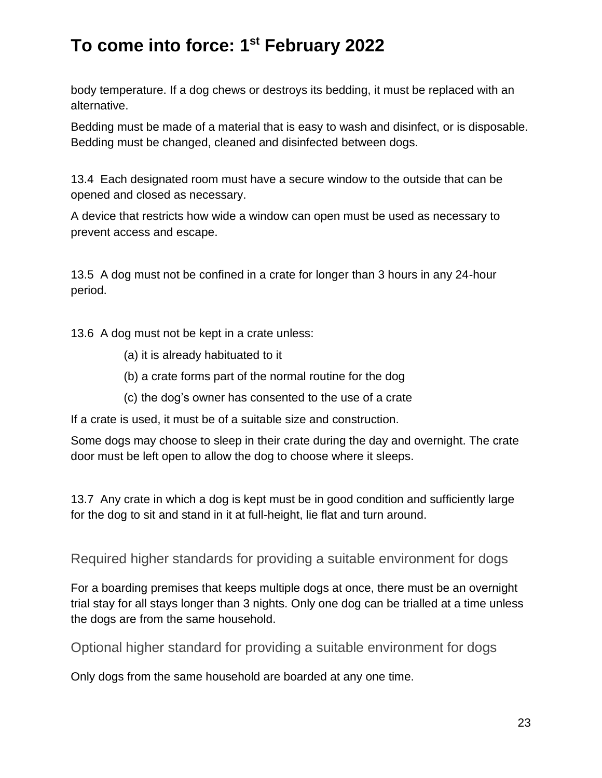body temperature. If a dog chews or destroys its bedding, it must be replaced with an alternative.

Bedding must be made of a material that is easy to wash and disinfect, or is disposable. Bedding must be changed, cleaned and disinfected between dogs.

13.4 Each designated room must have a secure window to the outside that can be opened and closed as necessary.

A device that restricts how wide a window can open must be used as necessary to prevent access and escape.

13.5 A dog must not be confined in a crate for longer than 3 hours in any 24-hour period.

13.6 A dog must not be kept in a crate unless:

- (a) it is already habituated to it
- (b) a crate forms part of the normal routine for the dog
- (c) the dog's owner has consented to the use of a crate

If a crate is used, it must be of a suitable size and construction.

Some dogs may choose to sleep in their crate during the day and overnight. The crate door must be left open to allow the dog to choose where it sleeps.

13.7 Any crate in which a dog is kept must be in good condition and sufficiently large for the dog to sit and stand in it at full-height, lie flat and turn around.

Required higher standards for providing a suitable environment for dogs

For a boarding premises that keeps multiple dogs at once, there must be an overnight trial stay for all stays longer than 3 nights. Only one dog can be trialled at a time unless the dogs are from the same household.

Optional higher standard for providing a suitable environment for dogs

Only dogs from the same household are boarded at any one time.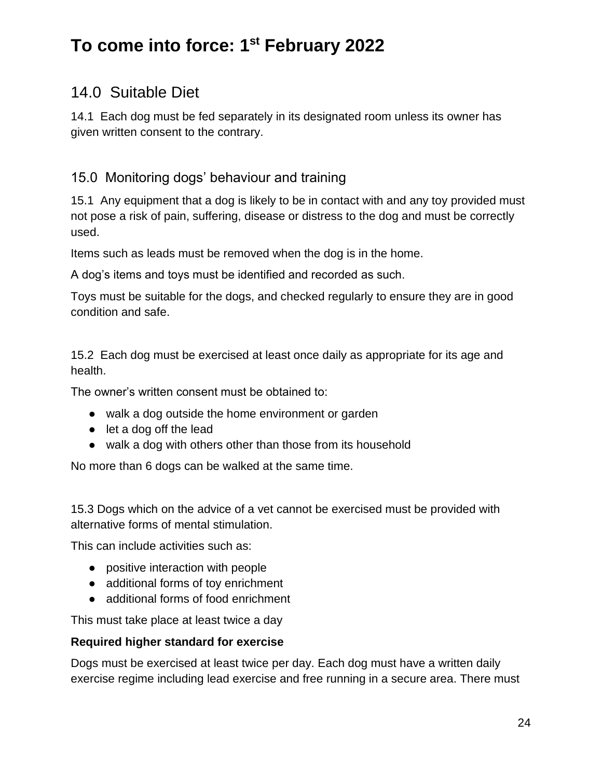### 14.0 Suitable Diet

14.1 Each dog must be fed separately in its designated room unless its owner has given written consent to the contrary.

#### 15.0 Monitoring dogs' behaviour and training

15.1 Any equipment that a dog is likely to be in contact with and any toy provided must not pose a risk of pain, suffering, disease or distress to the dog and must be correctly used.

Items such as leads must be removed when the dog is in the home.

A dog's items and toys must be identified and recorded as such.

Toys must be suitable for the dogs, and checked regularly to ensure they are in good condition and safe.

15.2 Each dog must be exercised at least once daily as appropriate for its age and health.

The owner's written consent must be obtained to:

- walk a dog outside the home environment or garden
- let a dog off the lead
- walk a dog with others other than those from its household

No more than 6 dogs can be walked at the same time.

15.3 Dogs which on the advice of a vet cannot be exercised must be provided with alternative forms of mental stimulation.

This can include activities such as:

- positive interaction with people
- additional forms of toy enrichment
- additional forms of food enrichment

This must take place at least twice a day

#### **Required higher standard for exercise**

Dogs must be exercised at least twice per day. Each dog must have a written daily exercise regime including lead exercise and free running in a secure area. There must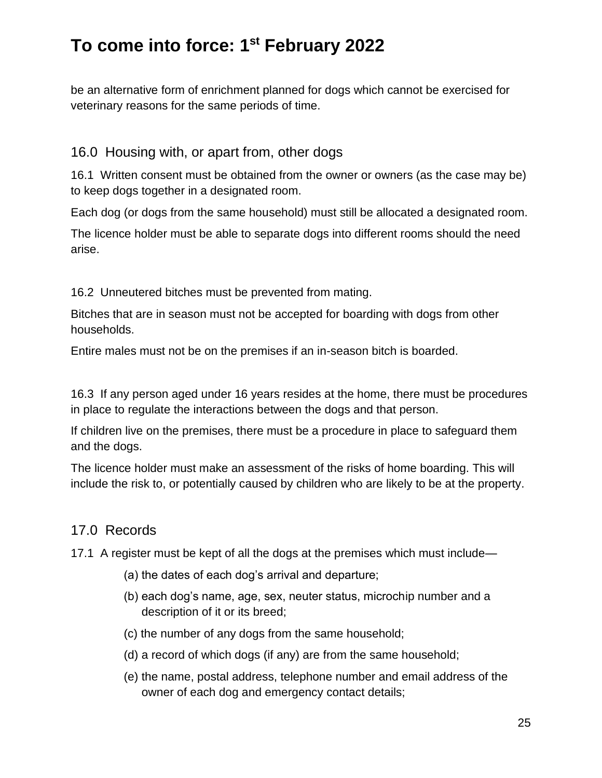be an alternative form of enrichment planned for dogs which cannot be exercised for veterinary reasons for the same periods of time.

#### 16.0 Housing with, or apart from, other dogs

16.1 Written consent must be obtained from the owner or owners (as the case may be) to keep dogs together in a designated room.

Each dog (or dogs from the same household) must still be allocated a designated room.

The licence holder must be able to separate dogs into different rooms should the need arise.

16.2 Unneutered bitches must be prevented from mating.

Bitches that are in season must not be accepted for boarding with dogs from other households.

Entire males must not be on the premises if an in-season bitch is boarded.

16.3 If any person aged under 16 years resides at the home, there must be procedures in place to regulate the interactions between the dogs and that person.

If children live on the premises, there must be a procedure in place to safeguard them and the dogs.

The licence holder must make an assessment of the risks of home boarding. This will include the risk to, or potentially caused by children who are likely to be at the property.

#### 17.0 Records

17.1 A register must be kept of all the dogs at the premises which must include—

- (a) the dates of each dog's arrival and departure;
- (b) each dog's name, age, sex, neuter status, microchip number and a description of it or its breed;
- (c) the number of any dogs from the same household;
- (d) a record of which dogs (if any) are from the same household;
- (e) the name, postal address, telephone number and email address of the owner of each dog and emergency contact details;